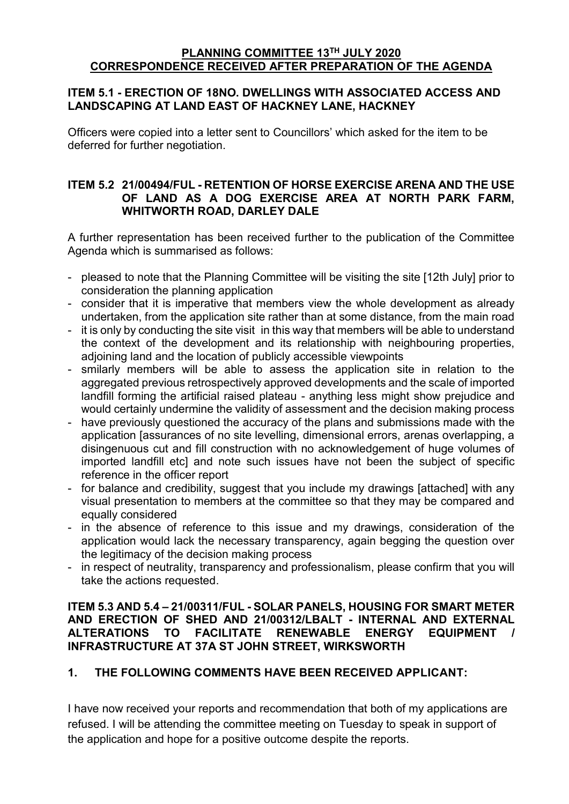#### **PLANNING COMMITTEE 13 TH JULY 2020 CORRESPONDENCE RECEIVED AFTER PREPARATION OF THE AGENDA**

## **ITEM 5.1 - ERECTION OF 18NO. DWELLINGS WITH ASSOCIATED ACCESS AND LANDSCAPING AT LAND EAST OF HACKNEY LANE, HACKNEY**

Officers were copied into a letter sent to Councillors' which asked for the item to be deferred for further negotiation.

## **ITEM 5.2 21/00494/FUL - RETENTION OF HORSE EXERCISE ARENA AND THE USE OF LAND AS A DOG EXERCISE AREA AT NORTH PARK FARM, WHITWORTH ROAD, DARLEY DALE**

A further representation has been received further to the publication of the Committee Agenda which is summarised as follows:

- pleased to note that the Planning Committee will be visiting the site [12th July] prior to consideration the planning application
- consider that it is imperative that members view the whole development as already undertaken, from the application site rather than at some distance, from the main road
- it is only by conducting the site visit in this way that members will be able to understand the context of the development and its relationship with neighbouring properties, adjoining land and the location of publicly accessible viewpoints
- smilarly members will be able to assess the application site in relation to the aggregated previous retrospectively approved developments and the scale of imported landfill forming the artificial raised plateau - anything less might show prejudice and would certainly undermine the validity of assessment and the decision making process
- have previously questioned the accuracy of the plans and submissions made with the application [assurances of no site levelling, dimensional errors, arenas overlapping, a disingenuous cut and fill construction with no acknowledgement of huge volumes of imported landfill etc] and note such issues have not been the subject of specific reference in the officer report
- for balance and credibility, suggest that you include my drawings [attached] with any visual presentation to members at the committee so that they may be compared and equally considered
- in the absence of reference to this issue and my drawings, consideration of the application would lack the necessary transparency, again begging the question over the legitimacy of the decision making process
- in respect of neutrality, transparency and professionalism, please confirm that you will take the actions requested.

### **ITEM 5.3 AND 5.4 – 21/00311/FUL - SOLAR PANELS, HOUSING FOR SMART METER AND ERECTION OF SHED AND 21/00312/LBALT - INTERNAL AND EXTERNAL ALTERATIONS TO FACILITATE RENEWABLE ENERGY EQUIPMENT / INFRASTRUCTURE AT 37A ST JOHN STREET, WIRKSWORTH**

# **1. THE FOLLOWING COMMENTS HAVE BEEN RECEIVED APPLICANT:**

I have now received your reports and recommendation that both of my applications are refused. I will be attending the committee meeting on Tuesday to speak in support of the application and hope for a positive outcome despite the reports.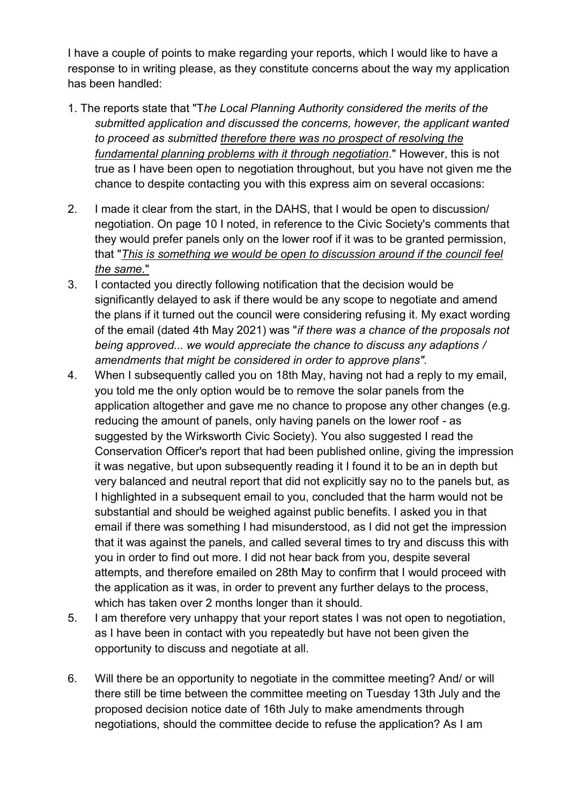I have a couple of points to make regarding your reports, which I would like to have a response to in writing please, as they constitute concerns about the way my application has been handled:

- 1. The reports state that "T*he Local Planning Authority considered the merits of the submitted application and discussed the concerns, however, the applicant wanted to proceed as submitted therefore there was no prospect of resolving the fundamental planning problems with it through negotiation.*" However, this is not true as I have been open to negotiation throughout, but you have not given me the chance to despite contacting you with this express aim on several occasions:
- 2. I made it clear from the start, in the DAHS, that I would be open to discussion/ negotiation. On page 10 I noted, in reference to the Civic Society's comments that they would prefer panels only on the lower roof if it was to be granted permission, that "*This is something we would be open to discussion around if the council feel the same.*"
- 3. I contacted you directly following notification that the decision would be significantly delayed to ask if there would be any scope to negotiate and amend the plans if it turned out the council were considering refusing it. My exact wording of the email (dated 4th May 2021) was "*if there was a chance of the proposals not being approved... we would appreciate the chance to discuss any adaptions / amendments that might be considered in order to approve plans".*
- 4. When I subsequently called you on 18th May, having not had a reply to my email, you told me the only option would be to remove the solar panels from the application altogether and gave me no chance to propose any other changes (e.g. reducing the amount of panels, only having panels on the lower roof - as suggested by the Wirksworth Civic Society). You also suggested I read the Conservation Officer's report that had been published online, giving the impression it was negative, but upon subsequently reading it I found it to be an in depth but very balanced and neutral report that did not explicitly say no to the panels but, as I highlighted in a subsequent email to you, concluded that the harm would not be substantial and should be weighed against public benefits. I asked you in that email if there was something I had misunderstood, as I did not get the impression that it was against the panels, and called several times to try and discuss this with you in order to find out more. I did not hear back from you, despite several attempts, and therefore emailed on 28th May to confirm that I would proceed with the application as it was, in order to prevent any further delays to the process, which has taken over 2 months longer than it should.
- 5. I am therefore very unhappy that your report states I was not open to negotiation, as I have been in contact with you repeatedly but have not been given the opportunity to discuss and negotiate at all.
- 6. Will there be an opportunity to negotiate in the committee meeting? And/ or will there still be time between the committee meeting on Tuesday 13th July and the proposed decision notice date of 16th July to make amendments through negotiations, should the committee decide to refuse the application? As I am